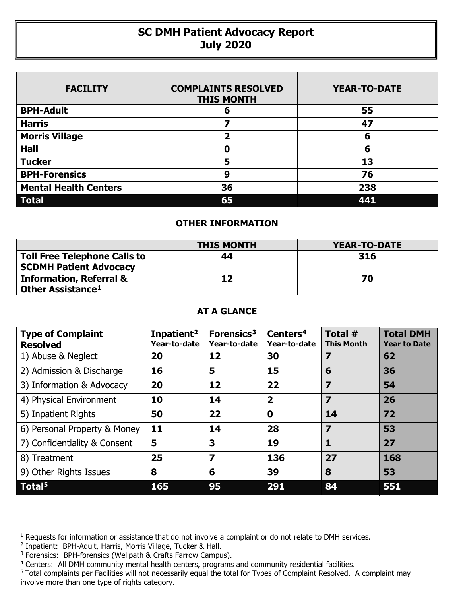## **SC DMH Patient Advocacy Report July 2020**

| <b>FACILITY</b>              | <b>COMPLAINTS RESOLVED</b><br><b>THIS MONTH</b> | <b>YEAR-TO-DATE</b> |  |  |
|------------------------------|-------------------------------------------------|---------------------|--|--|
| <b>BPH-Adult</b>             | 6                                               | 55                  |  |  |
| <b>Harris</b>                |                                                 | 47                  |  |  |
| <b>Morris Village</b>        | $\overline{\mathbf{2}}$                         | 6                   |  |  |
| <b>Hall</b>                  | Ω                                               | 6                   |  |  |
| <b>Tucker</b>                | 5                                               | 13                  |  |  |
| <b>BPH-Forensics</b>         | 9                                               | 76                  |  |  |
| <b>Mental Health Centers</b> | 36                                              | 238                 |  |  |
| <b>Total</b>                 | 65                                              | 441                 |  |  |

## **OTHER INFORMATION**

|                                                                      | <b>THIS MONTH</b> | <b>YEAR-TO-DATE</b> |  |  |
|----------------------------------------------------------------------|-------------------|---------------------|--|--|
| <b>Toll Free Telephone Calls to</b><br><b>SCDMH Patient Advocacy</b> | 44                | 316                 |  |  |
| <b>Information, Referral &amp;</b><br>Other Assistance <sup>1</sup>  | 12                | 70                  |  |  |

## **AT A GLANCE**

| <b>Type of Complaint</b><br><b>Resolved</b> | Inpatient <sup>2</sup><br>Year-to-date | Forensics <sup>3</sup><br>Year-to-date | Centers <sup>4</sup><br>Year-to-date | Total #<br><b>This Month</b> | <b>Total DMH</b><br><b>Year to Date</b> |
|---------------------------------------------|----------------------------------------|----------------------------------------|--------------------------------------|------------------------------|-----------------------------------------|
| 1) Abuse & Neglect                          | 20                                     | 12                                     | 30                                   |                              | 62                                      |
| 2) Admission & Discharge                    | 16                                     | 5                                      | 15                                   | 6                            | 36                                      |
| 3) Information & Advocacy                   | 20                                     | 12                                     | 22                                   | $\overline{\mathbf{z}}$      | 54                                      |
| 4) Physical Environment                     | 10                                     | 14                                     | $\overline{\mathbf{2}}$              | $\overline{\mathbf{z}}$      | 26                                      |
| 5) Inpatient Rights                         | 50                                     | 22                                     | $\mathbf 0$                          | 14                           | 72                                      |
| 6) Personal Property & Money                | 11                                     | 14                                     | 28                                   | $\overline{\mathbf{z}}$      | 53                                      |
| 7) Confidentiality & Consent                | 5                                      | 3                                      | 19                                   | 1                            | 27                                      |
| 8) Treatment                                | 25                                     | $\overline{\mathbf{z}}$                | 136                                  | 27                           | 168                                     |
| 9) Other Rights Issues                      | 8                                      | 6                                      | 39                                   | 8                            | 53                                      |
| Total <sup>5</sup>                          | 165                                    | 95                                     | 291                                  | 84                           | 551                                     |

 $\overline{a}$ 

<span id="page-0-0"></span><sup>&</sup>lt;sup>1</sup> Requests for information or assistance that do not involve a complaint or do not relate to DMH services.

<span id="page-0-1"></span><sup>2</sup> Inpatient: BPH-Adult, Harris, Morris Village, Tucker & Hall.

<span id="page-0-2"></span><sup>&</sup>lt;sup>3</sup> Forensics: BPH-forensics (Wellpath & Crafts Farrow Campus).

<span id="page-0-3"></span><sup>&</sup>lt;sup>4</sup> Centers: All DMH community mental health centers, programs and community residential facilities.

<span id="page-0-4"></span><sup>&</sup>lt;sup>5</sup> Total complaints per Facilities will not necessarily equal the total for Types of Complaint Resolved. A complaint may involve more than one type of rights category.